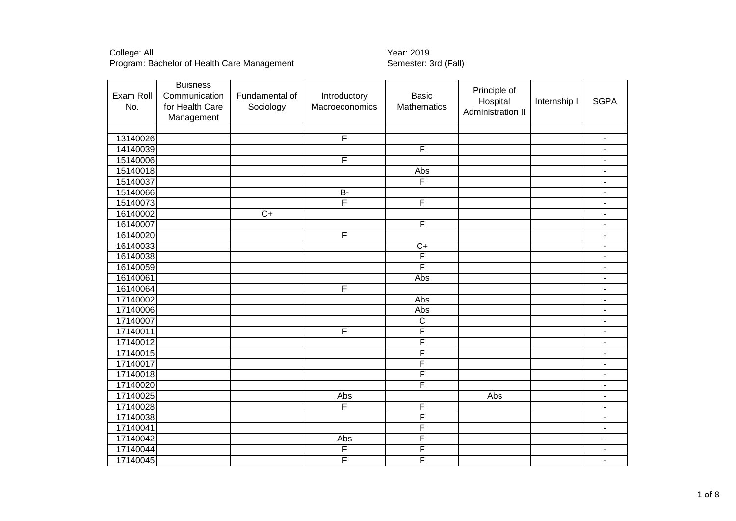College: All Year: 2019 Program: Bachelor of Health Care Management

|           | <b>Buisness</b> |                 |                |                         | Principle of      |              |                          |
|-----------|-----------------|-----------------|----------------|-------------------------|-------------------|--------------|--------------------------|
| Exam Roll | Communication   | Fundamental of  | Introductory   | <b>Basic</b>            | Hospital          | Internship I | <b>SGPA</b>              |
| No.       | for Health Care | Sociology       | Macroeconomics | <b>Mathematics</b>      | Administration II |              |                          |
|           | Management      |                 |                |                         |                   |              |                          |
|           |                 |                 |                |                         |                   |              |                          |
| 13140026  |                 |                 | F              |                         |                   |              | $\blacksquare$           |
| 14140039  |                 |                 |                | F                       |                   |              |                          |
| 15140006  |                 |                 | F              |                         |                   |              | $\blacksquare$           |
| 15140018  |                 |                 |                | Abs                     |                   |              | $\blacksquare$           |
| 15140037  |                 |                 |                | F                       |                   |              | $\blacksquare$           |
| 15140066  |                 |                 | $\overline{B}$ |                         |                   |              | $\overline{\phantom{a}}$ |
| 15140073  |                 |                 | $\overline{F}$ | F                       |                   |              |                          |
| 16140002  |                 | $\overline{C+}$ |                |                         |                   |              | $\blacksquare$           |
| 16140007  |                 |                 |                | $\overline{F}$          |                   |              | $\blacksquare$           |
| 16140020  |                 |                 | F              |                         |                   |              | $\blacksquare$           |
| 16140033  |                 |                 |                | $\overline{C}$          |                   |              | ٠                        |
| 16140038  |                 |                 |                | $\overline{\mathsf{F}}$ |                   |              | $\blacksquare$           |
| 16140059  |                 |                 |                | F                       |                   |              | $\blacksquare$           |
| 16140061  |                 |                 |                | Abs                     |                   |              | $\overline{\phantom{a}}$ |
| 16140064  |                 |                 | F              |                         |                   |              | $\overline{\phantom{a}}$ |
| 17140002  |                 |                 |                | Abs                     |                   |              | $\blacksquare$           |
| 17140006  |                 |                 |                | Abs                     |                   |              | $\blacksquare$           |
| 17140007  |                 |                 |                | $\overline{C}$          |                   |              |                          |
| 17140011  |                 |                 | F              | F                       |                   |              | ٠                        |
| 17140012  |                 |                 |                | F                       |                   |              | $\overline{\phantom{a}}$ |
| 17140015  |                 |                 |                | F                       |                   |              |                          |
| 17140017  |                 |                 |                | F                       |                   |              | ٠                        |
| 17140018  |                 |                 |                | F                       |                   |              |                          |
| 17140020  |                 |                 |                | F                       |                   |              |                          |
| 17140025  |                 |                 | Abs            |                         | Abs               |              | $\blacksquare$           |
| 17140028  |                 |                 | F              | F                       |                   |              | ۰                        |
| 17140038  |                 |                 |                | F                       |                   |              | ۰                        |
| 17140041  |                 |                 |                | F                       |                   |              | $\overline{\phantom{a}}$ |
| 17140042  |                 |                 | Abs            | F                       |                   |              | $\blacksquare$           |
| 17140044  |                 |                 | F              | F                       |                   |              |                          |
| 17140045  |                 |                 | F              | F                       |                   |              | $\overline{\phantom{a}}$ |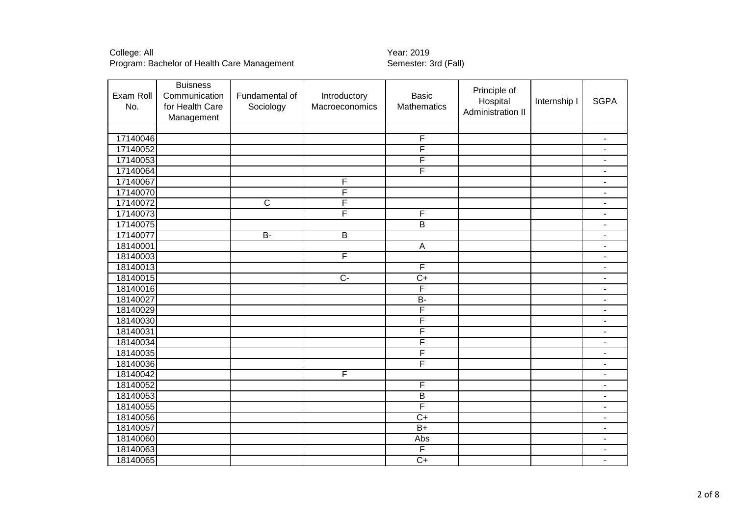# College: All Year: 2019

Program: Bachelor of Health Care Management Semester: 3rd (Fall)

| Exam Roll | <b>Buisness</b><br>Communication | Fundamental of        | Introductory   | <b>Basic</b>            | Principle of      |              |                          |
|-----------|----------------------------------|-----------------------|----------------|-------------------------|-------------------|--------------|--------------------------|
| No.       | for Health Care                  | Sociology             | Macroeconomics | <b>Mathematics</b>      | Hospital          | Internship I | <b>SGPA</b>              |
|           | Management                       |                       |                |                         | Administration II |              |                          |
|           |                                  |                       |                |                         |                   |              |                          |
| 17140046  |                                  |                       |                | F                       |                   |              | $\overline{\phantom{a}}$ |
| 17140052  |                                  |                       |                | F                       |                   |              | $\overline{\phantom{a}}$ |
| 17140053  |                                  |                       |                | F                       |                   |              | $\blacksquare$           |
| 17140064  |                                  |                       |                | F                       |                   |              | $\overline{\phantom{a}}$ |
| 17140067  |                                  |                       | F              |                         |                   |              | $\overline{\phantom{a}}$ |
| 17140070  |                                  |                       | F              |                         |                   |              | $\blacksquare$           |
| 17140072  |                                  | $\overline{\text{c}}$ | F              |                         |                   |              |                          |
| 17140073  |                                  |                       | F              | F                       |                   |              | $\blacksquare$           |
| 17140075  |                                  |                       |                | $\overline{B}$          |                   |              | $\overline{\phantom{a}}$ |
| 17140077  |                                  | <b>B-</b>             | B              |                         |                   |              | $\blacksquare$           |
| 18140001  |                                  |                       |                | $\overline{A}$          |                   |              | $\blacksquare$           |
| 18140003  |                                  |                       | F              |                         |                   |              | $\blacksquare$           |
| 18140013  |                                  |                       |                | F                       |                   |              | $\blacksquare$           |
| 18140015  |                                  |                       | $\overline{C}$ | $\overline{C+}$         |                   |              | $\overline{\phantom{a}}$ |
| 18140016  |                                  |                       |                | $\overline{\mathsf{F}}$ |                   |              | $\blacksquare$           |
| 18140027  |                                  |                       |                | $\overline{B}$          |                   |              | $\overline{\phantom{a}}$ |
| 18140029  |                                  |                       |                | F                       |                   |              | $\blacksquare$           |
| 18140030  |                                  |                       |                | F                       |                   |              | $\overline{\phantom{a}}$ |
| 18140031  |                                  |                       |                | F                       |                   |              |                          |
| 18140034  |                                  |                       |                | F                       |                   |              | $\overline{\phantom{a}}$ |
| 18140035  |                                  |                       |                | F                       |                   |              | $\overline{\phantom{a}}$ |
| 18140036  |                                  |                       |                | F                       |                   |              | $\blacksquare$           |
| 18140042  |                                  |                       | F              |                         |                   |              | $\blacksquare$           |
| 18140052  |                                  |                       |                | F                       |                   |              | ٠                        |
| 18140053  |                                  |                       |                | $\overline{B}$          |                   |              |                          |
| 18140055  |                                  |                       |                | F                       |                   |              | $\blacksquare$           |
| 18140056  |                                  |                       |                | $\overline{C+}$         |                   |              | $\overline{\phantom{a}}$ |
| 18140057  |                                  |                       |                | $\overline{B+}$         |                   |              | $\blacksquare$           |
| 18140060  |                                  |                       |                | Abs                     |                   |              | $\blacksquare$           |
| 18140063  |                                  |                       |                | $\overline{\mathsf{F}}$ |                   |              | $\blacksquare$           |
| 18140065  |                                  |                       |                | $\overline{C+}$         |                   |              | $\blacksquare$           |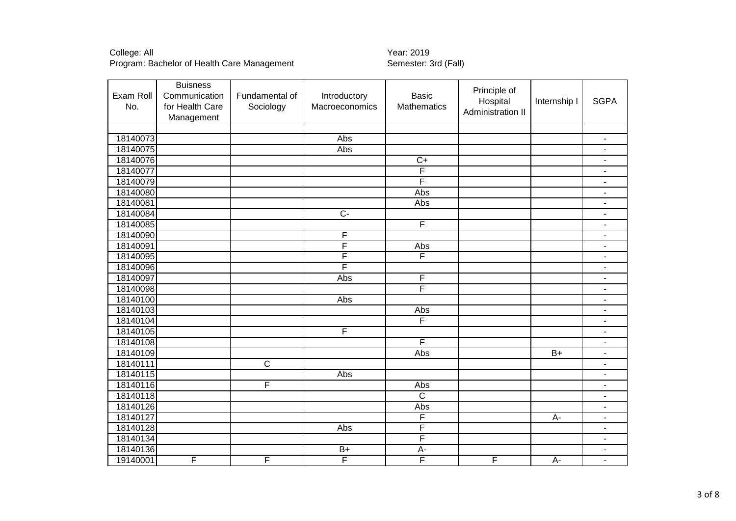College: All<br>Program: Bachelor of Health Care Management Theory Collegens Semester: 3rd (Fall) Program: Bachelor of Health Care Management

| Exam Roll | <b>Buisness</b><br>Communication | Fundamental of          | Introductory            | <b>Basic</b>            | Principle of<br>Hospital | Internship I | <b>SGPA</b>              |
|-----------|----------------------------------|-------------------------|-------------------------|-------------------------|--------------------------|--------------|--------------------------|
| No.       | for Health Care<br>Management    | Sociology               | Macroeconomics          | <b>Mathematics</b>      | Administration II        |              |                          |
|           |                                  |                         |                         |                         |                          |              |                          |
| 18140073  |                                  |                         | Abs                     |                         |                          |              | $\overline{\phantom{a}}$ |
| 18140075  |                                  |                         | Abs                     |                         |                          |              |                          |
| 18140076  |                                  |                         |                         | $C+$                    |                          |              |                          |
| 18140077  |                                  |                         |                         | F                       |                          |              | $\blacksquare$           |
| 18140079  |                                  |                         |                         | F                       |                          |              | $\blacksquare$           |
| 18140080  |                                  |                         |                         | Abs                     |                          |              | $\overline{\phantom{a}}$ |
| 18140081  |                                  |                         |                         | Abs                     |                          |              | $\overline{\phantom{a}}$ |
| 18140084  |                                  |                         | $\overline{C}$          |                         |                          |              | $\blacksquare$           |
| 18140085  |                                  |                         |                         | F                       |                          |              |                          |
| 18140090  |                                  |                         | F                       |                         |                          |              |                          |
| 18140091  |                                  |                         | F                       | Abs                     |                          |              | $\blacksquare$           |
| 18140095  |                                  |                         | F                       | F                       |                          |              |                          |
| 18140096  |                                  |                         | F                       |                         |                          |              | $\blacksquare$           |
| 18140097  |                                  |                         | Abs                     | F                       |                          |              | $\sim$                   |
| 18140098  |                                  |                         |                         | $\overline{\mathsf{F}}$ |                          |              | $\blacksquare$           |
| 18140100  |                                  |                         | Abs                     |                         |                          |              | $\overline{\phantom{a}}$ |
| 18140103  |                                  |                         |                         | Abs                     |                          |              | $\overline{\phantom{a}}$ |
| 18140104  |                                  |                         |                         | F                       |                          |              | $\blacksquare$           |
| 18140105  |                                  |                         | $\overline{F}$          |                         |                          |              | $\blacksquare$           |
| 18140108  |                                  |                         |                         | F                       |                          |              | $\overline{\phantom{a}}$ |
| 18140109  |                                  |                         |                         | Abs                     |                          | $B+$         | $\blacksquare$           |
| 18140111  |                                  | $\overline{C}$          |                         |                         |                          |              |                          |
| 18140115  |                                  |                         | Abs                     |                         |                          |              |                          |
| 18140116  |                                  | $\overline{\mathsf{F}}$ |                         | Abs                     |                          |              |                          |
| 18140118  |                                  |                         |                         | $\overline{\mathsf{c}}$ |                          |              |                          |
| 18140126  |                                  |                         |                         | Abs                     |                          |              |                          |
| 18140127  |                                  |                         |                         | F                       |                          | A-           | $\blacksquare$           |
| 18140128  |                                  |                         | Abs                     | F                       |                          |              | $\sim$                   |
| 18140134  |                                  |                         |                         | F                       |                          |              | $\blacksquare$           |
| 18140136  |                                  |                         | $B+$                    | $A-$                    |                          |              |                          |
| 19140001  | F                                | F                       | $\overline{\mathsf{F}}$ | $\overline{\mathsf{F}}$ | F                        | $A-$         | $\blacksquare$           |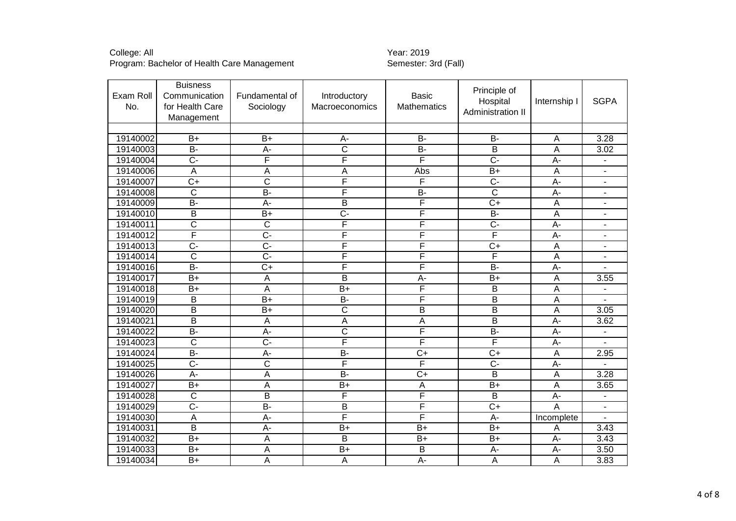College: All<br>Program: Bachelor of Health Care Management Theory Collegens Semester: 3rd (Fall) Program: Bachelor of Health Care Management

| Exam Roll<br>No. | <b>Buisness</b><br>Communication<br>for Health Care<br>Management | Fundamental of<br>Sociology | Introductory<br>Macroeconomics | <b>Basic</b><br>Mathematics | Principle of<br>Hospital<br>Administration II | Internship I | <b>SGPA</b>    |
|------------------|-------------------------------------------------------------------|-----------------------------|--------------------------------|-----------------------------|-----------------------------------------------|--------------|----------------|
|                  |                                                                   |                             |                                |                             |                                               |              |                |
| 19140002         | $B+$                                                              | $B+$                        | A-                             | <b>B-</b>                   | <b>B-</b>                                     | A            | 3.28           |
| 19140003         | $B -$                                                             | $\overline{A}$              | $\overline{\text{c}}$          | $\overline{B}$              | $\overline{\mathsf{B}}$                       | A            | 3.02           |
| 19140004         | $\overline{C}$                                                    | F                           | F                              | F                           | $\overline{C}$                                | $A-$         | ۰              |
| 19140006         | $\mathsf A$                                                       | A                           | A                              | Abs                         | $B+$                                          | A            | $\blacksquare$ |
| 19140007         | $\overline{C+}$                                                   | $\overline{\text{c}}$       | F                              | F                           | $\overline{C}$                                | A-           |                |
| 19140008         | $\overline{\text{c}}$                                             | $\overline{B}$              | F                              | <b>B-</b>                   | $\overline{\text{c}}$                         | A-           | ۰              |
| 19140009         | B-                                                                | А-                          | B                              | F                           | $C+$                                          | A            | ٠              |
| 19140010         | $\overline{B}$                                                    | $\overline{B+}$             | $\overline{C}$ -               | F                           | $B -$                                         | A            | $\overline{a}$ |
| 19140011         | C                                                                 | $\overline{C}$              | F                              | F                           | $C -$                                         | A-           | ۰              |
| 19140012         | F                                                                 | $\overline{C}$ -            | F                              | F                           | F                                             | A-           |                |
| 19140013         | $\overline{C}$                                                    | $\overline{C}$              | F                              | F                           | $\overline{C}$                                | A            |                |
| 19140014         | $\overline{\text{c}}$                                             | $\overline{C}$              | F                              | F                           | F                                             | A            |                |
| 19140016         | $\overline{B}$                                                    | $\overline{C}$              | F                              | F                           | $\overline{B}$                                | $A -$        |                |
| 19140017         | $\overline{B+}$                                                   | A                           | $\overline{\mathsf{B}}$        | A-                          | $\overline{B+}$                               | Α            | 3.55           |
| 19140018         | $B+$                                                              | Α                           | B+                             | F                           | Β                                             | Α            |                |
| 19140019         | B                                                                 | $\overline{B+}$             | $\overline{B}$                 | F                           | B                                             | A            |                |
| 19140020         | $\overline{B}$                                                    | $\overline{B+}$             | $\overline{\text{c}}$          | $\overline{\mathsf{B}}$     | $\overline{\mathsf{B}}$                       | A            | 3.05           |
| 19140021         | B                                                                 | A                           | A                              | Α                           | B                                             | A-           | 3.62           |
| 19140022         | $B -$                                                             | A-                          | $\overline{\text{c}}$          | F                           | $\overline{B}$                                | $A-$         |                |
| 19140023         | $\overline{\text{c}}$                                             | $\overline{C}$ -            | F                              | F                           | F                                             | A-           |                |
| 19140024         | B-                                                                | A-                          | <b>B-</b>                      | $C+$                        | $C+$                                          | A            | 2.95           |
| 19140025         | $\overline{C}$                                                    | $\overline{\text{c}}$       | F                              | F                           | $\overline{C}$                                | A-           |                |
| 19140026         | $A -$                                                             | A                           | $\overline{B}$                 | $\overline{C}$              | $\overline{\mathsf{B}}$                       | A            | 3.28           |
| 19140027         | $\overline{B+}$                                                   | A                           | $\overline{B+}$                | A                           | $\overline{B+}$                               | A            | 3.65           |
| 19140028         | $\overline{\text{C}}$                                             | B                           | F                              | F                           | B                                             | A-           |                |
| 19140029         | $\overline{C}$                                                    | $\overline{B}$              | $\overline{\mathsf{B}}$        | F                           | $\overline{C+}$                               | A            | ۰              |
| 19140030         | A                                                                 | A-                          | F                              | F                           | A-                                            | Incomplete   | ÷.             |
| 19140031         | B                                                                 | A-                          | $B+$                           | $B+$                        | $B+$                                          | Α            | 3.43           |
| 19140032         | $\overline{B}$                                                    | A                           | $\overline{\mathsf{B}}$        | $\overline{B+}$             | $B+$                                          | $A -$        | 3.43           |
| 19140033         | $B+$                                                              | A                           | $B+$                           | B                           | $A -$                                         | $A -$        | 3.50           |
| 19140034         | $B+$                                                              | A                           | A                              | A-                          | A                                             | A            | 3.83           |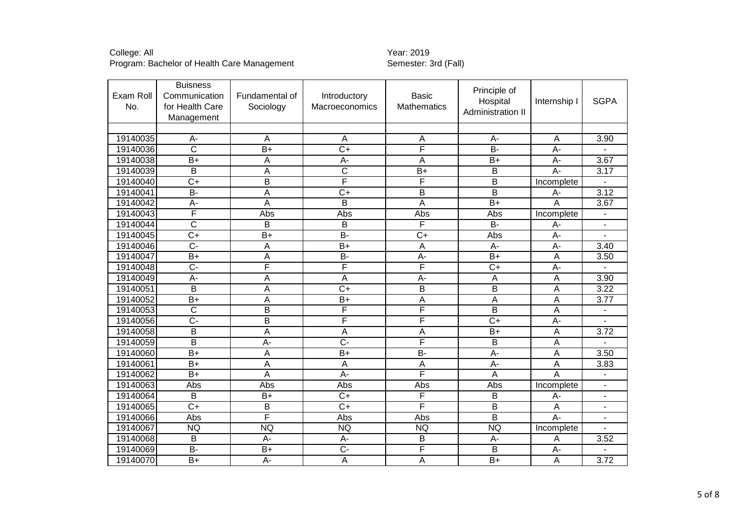# College: All Year: 2019

Program: Bachelor of Health Care Management Semester: 3rd (Fall)

| Exam Roll<br>No. | <b>Buisness</b><br>Communication<br>for Health Care<br>Management | Fundamental of<br>Sociology | Introductory<br>Macroeconomics | <b>Basic</b><br><b>Mathematics</b> | Principle of<br>Hospital<br>Administration II | Internship I     | <b>SGPA</b> |
|------------------|-------------------------------------------------------------------|-----------------------------|--------------------------------|------------------------------------|-----------------------------------------------|------------------|-------------|
|                  |                                                                   |                             |                                |                                    |                                               |                  |             |
| 19140035         | А-                                                                | Α                           | Α                              | A                                  | A-                                            | A                | 3.90        |
| 19140036         | $\overline{\text{c}}$                                             | $\overline{B+}$             | $\overline{C+}$                | F                                  | $B -$                                         | $\overline{A}$ - |             |
| 19140038         | $B+$                                                              | A                           | A-                             | A                                  | $B+$                                          | A-               | 3.67        |
| 19140039         | B                                                                 | Α                           | $\overline{\text{c}}$          | $B+$                               | B                                             | A-               | 3.17        |
| 19140040         | $\overline{C}$                                                    | $\overline{\mathsf{B}}$     | F                              | F                                  | $\overline{B}$                                | Incomplete       |             |
| 19140041         | B-                                                                | A                           | $C+$                           | B                                  | B                                             | $A -$            | 3.12        |
| 19140042         | A-                                                                | A                           | B                              | A                                  | $\overline{B+}$                               | A                | 3.67        |
| 19140043         | F                                                                 | Abs                         | Abs                            | Abs                                | Abs                                           | Incomplete       |             |
| 19140044         | C                                                                 | B                           | B                              | F                                  | <b>B-</b>                                     | A-               |             |
| 19140045         | $\overline{C+}$                                                   | $B+$                        | <b>B-</b>                      | $\overline{C+}$                    | Abs                                           | $A -$            |             |
| 19140046         | $\overline{C}$ -                                                  | A                           | $\overline{B}$                 | $\overline{A}$                     | $\overline{A}$                                | $\overline{A}$   | 3.40        |
| 19140047         | $B+$                                                              | A                           | <b>B-</b>                      | A-                                 | $B+$                                          | Α                | 3.50        |
| 19140048         | $\overline{C}$                                                    | F                           | F                              | F                                  | $\overline{C}$                                | A-               |             |
| 19140049         | $\overline{A}$ -                                                  | $\overline{\mathsf{A}}$     | $\overline{A}$                 | $\overline{A}$ -                   | $\overline{A}$                                | A                | 3.90        |
| 19140051         | B                                                                 | Α                           | $\overline{C}$                 | $\overline{B}$                     | B                                             | Α                | 3.22        |
| 19140052         | $B+$                                                              | Α                           | $B+$                           | A                                  | A                                             | A                | 3.77        |
| 19140053         | $\overline{\text{c}}$                                             | $\overline{\mathsf{B}}$     | F                              | F                                  | $\overline{B}$                                | A                |             |
| 19140056         | $C -$                                                             | B                           | F                              | F                                  | $C+$                                          | $A -$            |             |
| 19140058         | B                                                                 | Α                           | A                              | A                                  | $B+$                                          | A                | 3.72        |
| 19140059         | $\overline{B}$                                                    | $\overline{A}$              | $\overline{C}$ -               | F                                  | $\overline{B}$                                | $\overline{A}$   |             |
| 19140060         | $B+$                                                              | A                           | $B+$                           | <b>B-</b>                          | A-                                            | Α                | 3.50        |
| 19140061         | $B+$                                                              | A                           | A                              | A                                  | $A -$                                         | Α                | 3.83        |
| 19140062         | $\overline{B}$                                                    | Ā                           | $\overline{A}$ -               | F                                  | $\overline{A}$                                | Ā                |             |
| 19140063         | Abs                                                               | Abs                         | Abs                            | Abs                                | Abs                                           | Incomplete       |             |
| 19140064         | B                                                                 | $B+$                        | $\overline{C+}$                | F                                  | B                                             | $A -$            |             |
| 19140065         | $\overline{C+}$                                                   | $\overline{B}$              | $\overline{C+}$                | F                                  | $\overline{B}$                                | A                |             |
| 19140066         | Abs                                                               | F                           | Abs                            | Abs                                | B                                             | A-               |             |
| 19140067         | <b>NQ</b>                                                         | <b>NQ</b>                   | <b>NQ</b>                      | <b>NQ</b>                          | <b>NQ</b>                                     | Incomplete       |             |
| 19140068         | $\overline{B}$                                                    | A-                          | $\overline{A}$ -               | $\overline{B}$                     | $A -$                                         | Α                | 3.52        |
| 19140069         | <b>B-</b>                                                         | $B+$                        | $C -$                          | F                                  | B                                             | $A -$            |             |
| 19140070         | $B+$                                                              | $A -$                       | $\boldsymbol{\mathsf{A}}$      | $\boldsymbol{\mathsf{A}}$          | $B+$                                          | $\mathsf A$      | 3.72        |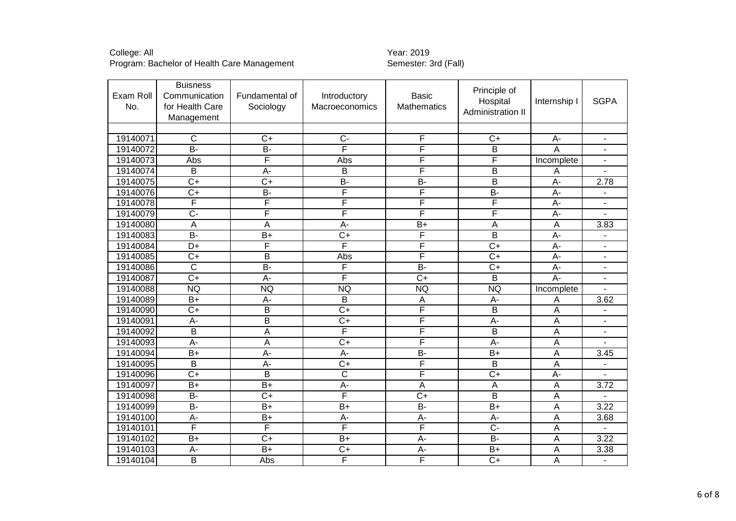# College: All Year: 2019

Program: Bachelor of Health Care Management Semester: 3rd (Fall)

| Exam Roll<br>No. | <b>Buisness</b><br>Communication<br>for Health Care<br>Management | Fundamental of<br>Sociology | Introductory<br>Macroeconomics | Basic<br><b>Mathematics</b> | Principle of<br>Hospital<br>Administration II | Internship I     | <b>SGPA</b>              |
|------------------|-------------------------------------------------------------------|-----------------------------|--------------------------------|-----------------------------|-----------------------------------------------|------------------|--------------------------|
|                  |                                                                   |                             |                                |                             |                                               |                  |                          |
| 19140071         | $\overline{C}$                                                    | $\overline{C+}$             | $\overline{C}$                 | F                           | $C+$                                          | A-               | $\overline{\phantom{a}}$ |
| 19140072         | $\overline{B}$                                                    | $B -$                       | F                              | F                           | $\overline{B}$                                | A                |                          |
| 19140073         | Abs                                                               | F                           | Abs                            | F                           | F                                             | Incomplete       |                          |
| 19140074         | B                                                                 | $A -$                       | B                              | F                           | B                                             | Α                |                          |
| 19140075         | $\overline{C+}$                                                   | $\overline{C+}$             | $\overline{B}$                 | $\overline{B}$              | $\overline{\mathsf{B}}$                       | $\overline{A}$ - | 2.78                     |
| 19140076         | $C+$                                                              | <b>B-</b>                   | F                              | F                           | B-                                            | $A -$            |                          |
| 19140078         | F                                                                 | F                           | F                              | F                           | F                                             | A-               |                          |
| 19140079         | $\overline{C}$ -                                                  | F                           | F                              | F                           | F                                             | $A -$            |                          |
| 19140080         | A                                                                 | A                           | A-                             | $B+$                        | $\overline{A}$                                | A                | 3.83                     |
| 19140083         | <b>B-</b>                                                         | $B+$                        | $C+$                           | F                           | B                                             | A-               |                          |
| 19140084         | $\overline{D+}$                                                   | F                           | F                              | F                           | $\overline{C+}$                               | $\overline{A}$ - |                          |
| 19140085         | $\overline{C+}$                                                   | B                           | Abs                            | F                           | $\overline{C+}$                               | $\overline{A}$ - |                          |
| 19140086         | $\overline{C}$                                                    | $\overline{B}$              | F                              | $\overline{B}$              | $\overline{C}$                                | А-               |                          |
| 19140087         | $\overline{C+}$                                                   | $\overline{A}$              | F                              | $\overline{C+}$             | $\overline{B}$                                | $A -$            |                          |
| 19140088         | <b>NQ</b>                                                         | <b>NQ</b>                   | <b>NQ</b>                      | <b>NQ</b>                   | <b>NQ</b>                                     | Incomplete       |                          |
| 19140089         | $B+$                                                              | A-                          | в                              | Α                           | A-                                            | Α                | 3.62                     |
| 19140090         | $\overline{C+}$                                                   | $\overline{\mathsf{B}}$     | $\overline{C}$                 | F                           | B                                             | A                |                          |
| 19140091         | A-                                                                | B                           | $C+$                           | F                           | A-                                            | A                |                          |
| 19140092         | B                                                                 | A                           | F                              | F                           | B                                             | A                |                          |
| 19140093         | $A -$                                                             | A                           | $\overline{C}$                 | F                           | $\overline{A}$ -                              | A                |                          |
| 19140094         | $B+$                                                              | $A -$                       | A-                             | $\overline{B}$              | $B+$                                          | A                | 3.45                     |
| 19140095         | $\overline{B}$                                                    | $A -$                       | $\overline{C}$                 | F                           | B                                             | A                |                          |
| 19140096         | $\overline{C+}$                                                   | $\overline{\mathsf{B}}$     | $\overline{\text{C}}$          | F                           | $\overline{C+}$                               | A-               |                          |
| 19140097         | $B+$                                                              | $\overline{B+}$             | $\overline{A}$                 | A                           | $\overline{A}$                                | A                | 3.72                     |
| 19140098         | $B -$                                                             | $\overline{C+}$             | F                              | $\overline{C}$              | $\overline{B}$                                | A                |                          |
| 19140099         | $\overline{B}$                                                    | $\overline{B}$              | $\overline{B+}$                | $\overline{B}$              | $\overline{B}$                                | A                | 3.22                     |
| 19140100         | А-                                                                | $B+$                        | А-                             | A-                          | A-                                            | A                | 3.68                     |
| 19140101         | F                                                                 | F                           | F                              | F                           | $\overline{C}$                                | A                |                          |
| 19140102         | $B+$                                                              | $C+$                        | $B+$                           | A-                          | $\overline{B}$                                | A                | 3.22                     |
| 19140103         | A-                                                                | $B+$                        | $C+$                           | A-                          | $B+$                                          | A                | 3.38                     |
| 19140104         | $\overline{B}$                                                    | Abs                         | F                              | F                           | $\overline{C+}$                               | $\mathsf A$      |                          |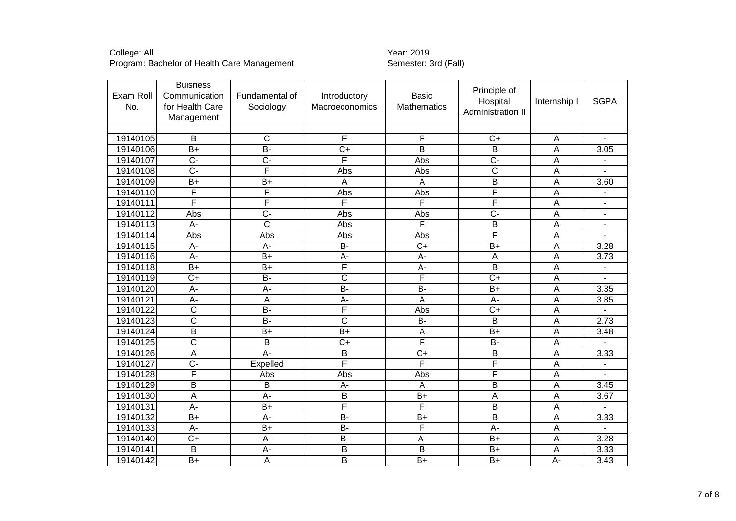College: All<br>Program: Bachelor of Health Care Management Theory Collegens Semester: 3rd (Fall) Program: Bachelor of Health Care Management

| Exam Roll<br>No. | <b>Buisness</b><br>Communication<br>for Health Care<br>Management | Fundamental of<br>Sociology | Introductory<br>Macroeconomics | <b>Basic</b><br><b>Mathematics</b> | Principle of<br>Hospital<br>Administration II | Internship I | <b>SGPA</b>              |
|------------------|-------------------------------------------------------------------|-----------------------------|--------------------------------|------------------------------------|-----------------------------------------------|--------------|--------------------------|
|                  |                                                                   |                             |                                |                                    |                                               |              |                          |
| 19140105         | $\overline{B}$                                                    | $\overline{\text{c}}$       | F                              | F                                  | $\overline{C}$                                | A            |                          |
| 19140106         | $\overline{B+}$                                                   | $\overline{B}$              | $\overline{C+}$                | $\overline{B}$                     | $\overline{\mathsf{B}}$                       | A            | 3.05                     |
| 19140107         | $\overline{C}$                                                    | $\overline{C}$              | F                              | Abs                                | $\overline{C}$                                | A            |                          |
| 19140108         | $\overline{C}$                                                    | F                           | Abs                            | Abs                                | $\overline{\text{c}}$                         | A            |                          |
| 19140109         | $\overline{B+}$                                                   | $\overline{B+}$             | A                              | A                                  | В                                             | A            | 3.60                     |
| 19140110         | F                                                                 | F                           | Abs                            | Abs                                | F                                             | A            |                          |
| 19140111         | F                                                                 | F                           | F                              | F                                  | F                                             | Α            | $\overline{\phantom{a}}$ |
| 19140112         | Abs                                                               | $\overline{C}$              | Abs                            | Abs                                | $\overline{C}$                                | A            |                          |
| 19140113         | A-                                                                | $\overline{\text{c}}$       | Abs                            | F                                  | B                                             | A            |                          |
| 19140114         | Abs                                                               | Abs                         | Abs                            | Abs                                | F                                             | Α            |                          |
| 19140115         | $A -$                                                             | $A -$                       | $B -$                          | $\overline{C+}$                    | $\overline{B+}$                               | A            | 3.28                     |
| 19140116         | A-                                                                | $B+$                        | A-                             | A-                                 | A                                             | A            | 3.73                     |
| 19140118         | $\overline{B+}$                                                   | $B+$                        | F                              | A-                                 | B                                             | A            |                          |
| 19140119         | $\overline{C+}$                                                   | $B -$                       | $\overline{\text{c}}$          | F                                  | $\overline{C+}$                               | Α            |                          |
| 19140120         | $\overline{A}$                                                    | $\overline{A}$              | $\overline{B}$                 | $\overline{B}$                     | $B+$                                          | A            | 3.35                     |
| 19140121         | A-                                                                | A                           | A-                             | A                                  | A-                                            | A            | 3.85                     |
| 19140122         | $\overline{\mathsf{C}}$                                           | $B -$                       | F                              | Abs                                | $\overline{C+}$                               | A            |                          |
| 19140123         | $\overline{\text{c}}$                                             | $\overline{B}$              | $\overline{\text{c}}$          | <b>B-</b>                          | B                                             | $\mathsf A$  | 2.73                     |
| 19140124         | B                                                                 | $B+$                        | $\overline{B+}$                | $\boldsymbol{\mathsf{A}}$          | $B+$                                          | A            | 3.48                     |
| 19140125         | $\overline{\text{c}}$                                             | $\overline{B}$              | $\overline{C}$                 | F                                  | $\overline{B}$                                | A            |                          |
| 19140126         | A                                                                 | $\overline{A}$ -            | B                              | $\overline{C+}$                    | B                                             | Α            | 3.33                     |
| 19140127         | $\overline{C}$ -                                                  | Expelled                    | F                              | F                                  | F                                             | Α            |                          |
| 19140128         | F                                                                 | Abs                         | Abs                            | Abs                                | F                                             | A            |                          |
| 19140129         | B                                                                 | B                           | $A -$                          | A                                  | B                                             | A            | 3.45                     |
| 19140130         | $\overline{A}$                                                    | $A -$                       | B                              | $B+$                               | A                                             | A            | 3.67                     |
| 19140131         | $A -$                                                             | $B+$                        | F                              | F                                  | B                                             | A            |                          |
| 19140132         | $B+$                                                              | $A -$                       | <b>B-</b>                      | $B+$                               | B                                             | Α            | 3.33                     |
| 19140133         | A-                                                                | $B+$                        | $\overline{B}$                 | F                                  | A-                                            | A            |                          |
| 19140140         | $\overline{C}$                                                    | $\overline{A}$              | $\overline{B}$                 | $\overline{A}$ -                   | $\overline{B+}$                               | A            | 3.28                     |
| 19140141         | $\overline{B}$                                                    | $\overline{A}$              | $\overline{B}$                 | B                                  | $B+$                                          | A            | 3.33                     |
| 19140142         | $B+$                                                              | A                           | B                              | $\overline{B+}$                    | $B+$                                          | A-           | 3.43                     |